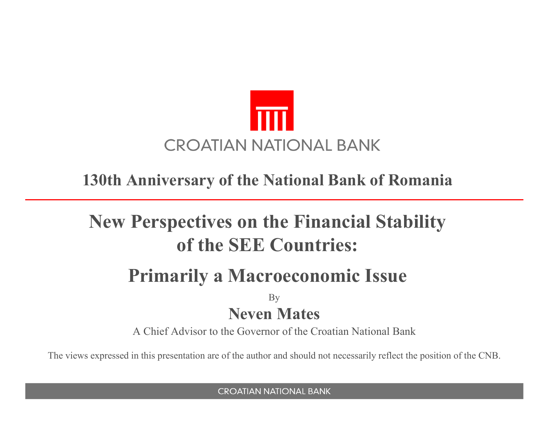

#### **130th Anniversary of the National Bank of Romania**

# **New Perspectives on the Financial Stabilityof the SEE Countries:**

## **Primarily a Macroeconomic Issue**

By **Neven Mates**

A Chief Advisor to the Governor of the Croatian National Bank

The views expressed in this presentation are of the author and should not necessarily reflect the position of the CNB.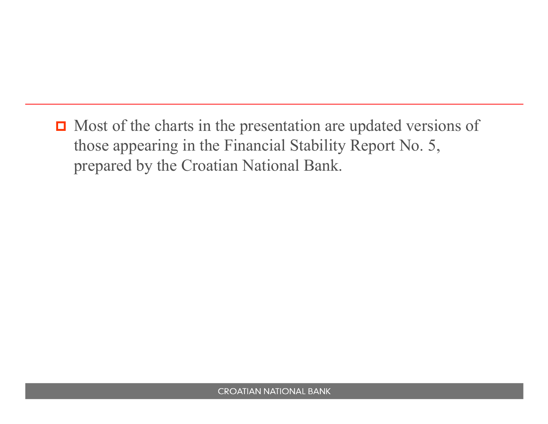$\Box$  Most of the charts in the presentation are updated versions of those appearing in the Financial Stability Report No. 5, prepared by the Croatian National Bank.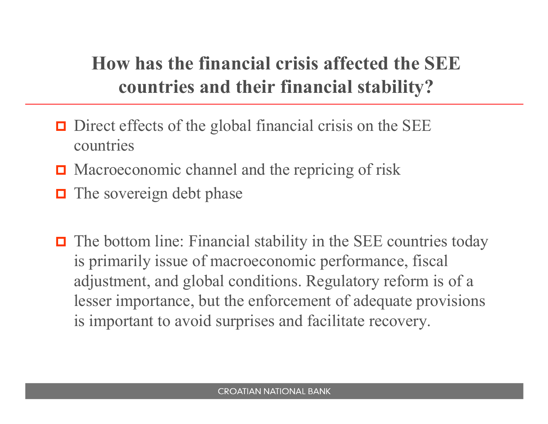# **How has the financial crisis affected the SEE countries and their financial stability?**

- Direct effects of the global financial crisis on the SEE countries
- **□** Macroeconomic channel and the repricing of risk
- $\Box$  The sovereign debt phase
- $\Box$  The bottom line: Financial stability in the SEE countries today is primarily issue of macroeconomic performance, fiscal adjustment, and global conditions. Regulatory reform is of a lesser importance, but the enforcement of adequate provisions is important to avoid surprises and facilitate recovery.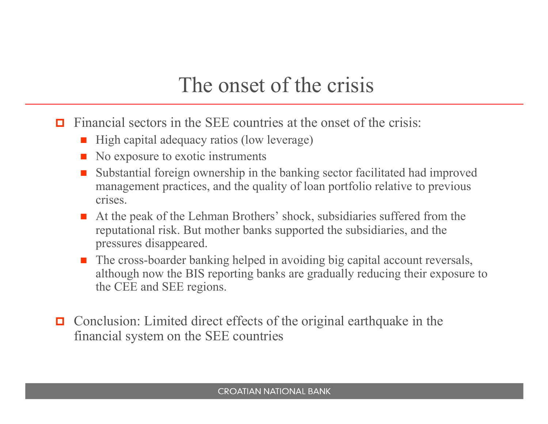# The onset of the crisis

- $\Box$  Financial sectors in the SEE countries at the onset of the crisis:
	- -High capital adequacy ratios (low leverage)
	- $\blacksquare$  No exposure to exotic instruments
	- - Substantial foreign ownership in the banking sector facilitated had improved management practices, and the quality of loan portfolio relative to previous crises.
	- At the peak of the Lehman Brothers' shock, subsidiaries suffered from the requirement of the subsidiaries and the reputational risk. But mother banks supported the subsidiaries, and the pressures disappeared.
	- The cross-boarder banking helped in avoiding big capital account reversals, although now the BIS reporting banks are gradually reducing their exposure to the CEE and SEE regions.
- $\Box$  Conclusion: Limited direct effects of the original earthquake in the financial system on the SEE countries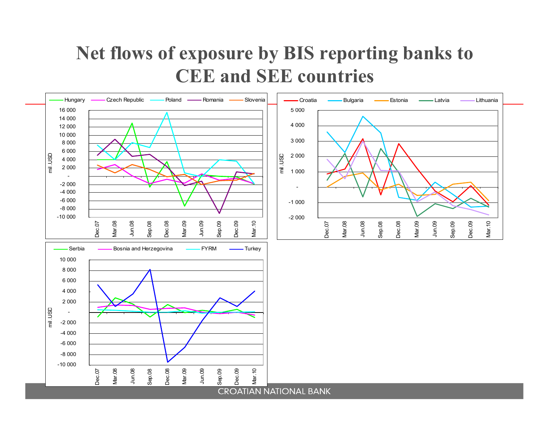# **Net flows of exposure by BIS reporting banks to CEE and SEE countries**

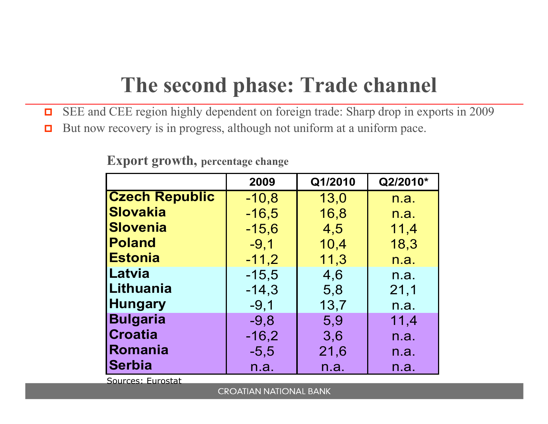# **The second phase: Trade channel**

- $\Box$ SEE and CEE region highly dependent on foreign trade: Sharp drop in exports in 2009
- $\Box$ But now recovery is in progress, although not uniform at a uniform pace.

|                       | 2009    | Q1/2010 | Q2/2010* |
|-----------------------|---------|---------|----------|
| <b>Czech Republic</b> | $-10,8$ | 13,0    | n.a.     |
| Slovakia              | $-16,5$ | 16,8    | n.a.     |
| <b>Slovenia</b>       | $-15,6$ | 4,5     | 11,4     |
| Poland                | $-9,1$  | 10,4    | 18,3     |
| <b>IEstonia</b>       | $-11,2$ | 11,3    | n.a.     |
| <b>Latvia</b>         | $-15,5$ | 4,6     | n.a.     |
| <b>Lithuania</b>      | $-14,3$ | 5,8     | 21,1     |
| <b>Hungary</b>        | $-9,1$  | 13,7    | n.a.     |
| <b>Bulgaria</b>       | $-9,8$  | 5,9     | 11,4     |
| <b>Croatia</b>        | $-16,2$ | 3,6     | n.a.     |
| Romania               | $-5,5$  | 21,6    | n.a.     |
| <b>Serbia</b>         | n.a.    | n.a.    | n.a.     |

#### **Export growth, percentage change**

Sources: Eurostat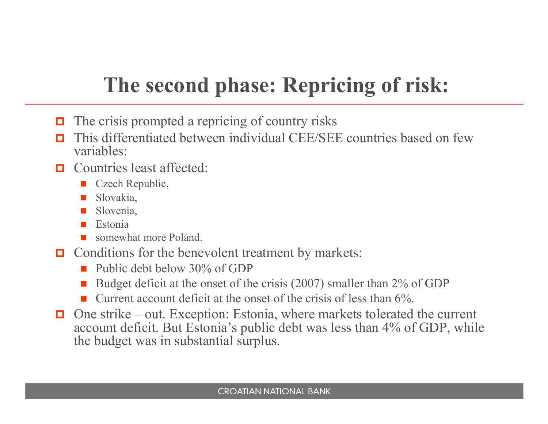# **The second phase: Repricing of risk:**

- $\Box$  The crisis prompted a repricing of country risks
- п This differentiated between individual CEE/SEE countries based on few variables:
- $\Box$  Countries least affected:
	- -Czech Republic,
	- Slovakia,
	- Slovenia,
	- -Estonia
	- **EXECUTE:** Somewhat more Poland.
- Conditions for the benevolent treatment by markets:<br> $\blacksquare$ 
	- Public debt below 30% of GDP
	- -Budget deficit at the onset of the crisis (2007) smaller than 2% of GDP
	- -Current account deficit at the onset of the crisis of less than 6%.
- $\Box$  One strike – out. Exception: Estonia, where markets tolerated the current account deficit. But Estonia's public debt was less than 4% of GDP, while the budget was in substantial surplus.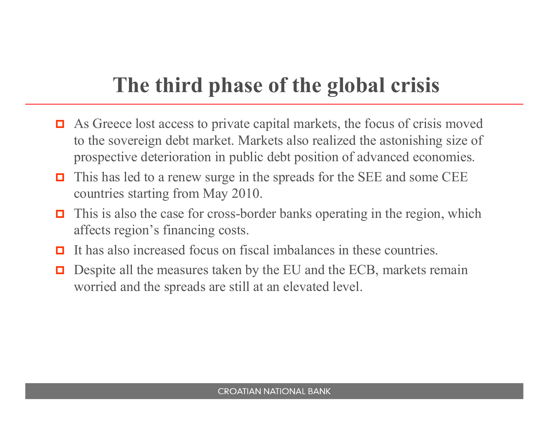# **The third phase of the global crisis**

- $\Box$  As Greece lost access to private capital markets, the focus of crisis moved to the sovereign debt market. Markets also realized the astonishing size of prospective deterioration in public debt position of advanced economies.
- $\Box$  This has led to a renew surge in the spreads for the SEE and some CEE countries starting from May 2010.
- $\Box$  This is also the case for cross-border banks operating in the region, which affects region's financing costs.
- $\Box$ It has also increased focus on fiscal imbalances in these countries.
- $\Box$  Despite all the measures taken by the EU and the ECB, markets remain worried and the spreads are still at an elevated level.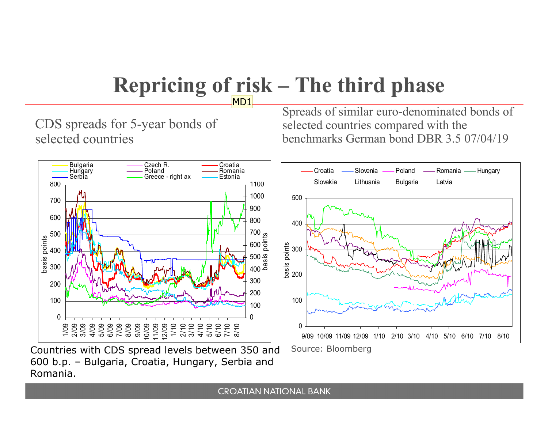#### **Repricing of risk – The third phase** MD1

CDS spreads for 5-year bonds of selected countries

Spreads of similar euro-denominated bonds of selected countries compared with the benchmarks German bond DBR 3.5 07/04/19



Countries with CDS spread levels between 350 and 600 b.p. – Bulgaria, Croatia, Hungary, Serbia and Romania.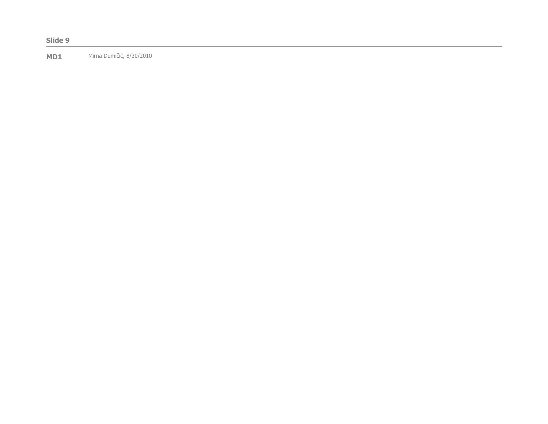#### **Slide 9**

**MD1** Mirna Dumičić, 8/30/2010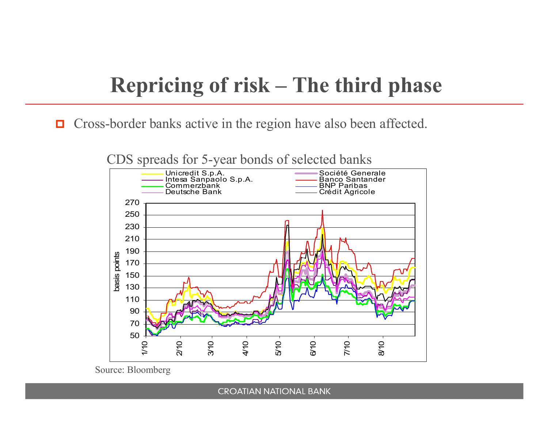# **Repricing of risk – The third phase**

 $\Box$ Cross-border banks active in the region have also been affected.

CDS spreads for 5-year bonds of selected banks



Source: Bloomberg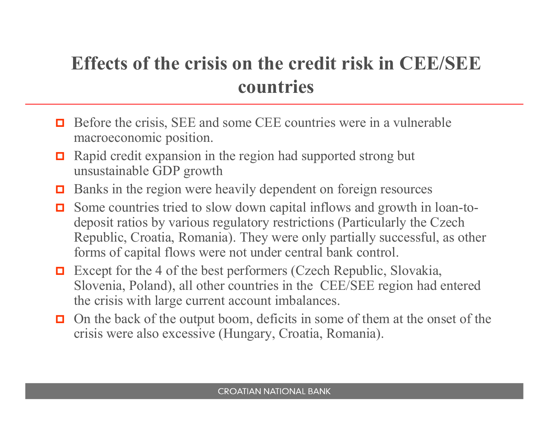# **Effects of the crisis on the credit risk in CEE/SEEcountries**

- $\Box$  Before the crisis, SEE and some CEE countries were in a vulnerable means approximation. macroeconomic position.
- $\Box$  Rapid credit expansion in the region had supported strong but unsustainable GDP growth
- Banks in the region were heavily dependent on foreign resources
- $\Box$  Some countries tried to slow down capital inflows and growth in loan-todeposit ratios by various regulatory restrictions (Particularly the Czech Republic, Croatia, Romania). They were only partially successful, as other forms of capital flows were not under central bank control.
- Except for the 4 of the best performers (Czech Republic, Slovakia, Slovenia, Poland), all other countries in the CEE/SEE region had entered the crisis with large current account imbalances.
- $\Box$  On the back of the output boom, deficits in some of them at the onset of the origin were also averaging (Hyperwy Creatio, Bernario). crisis were also excessive (Hungary, Croatia, Romania).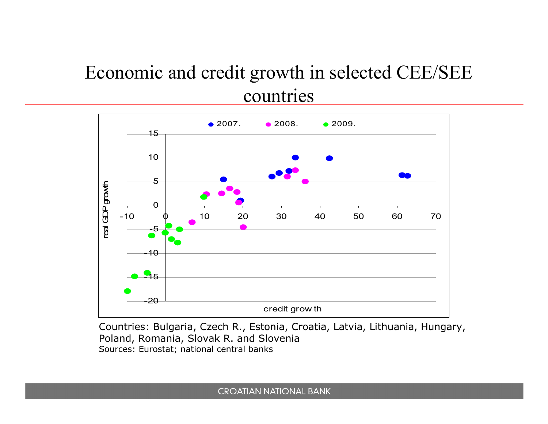## Economic and credit growth in selected CEE/SEE countries



Countries: Bulgaria, Czech R., Estonia, Croatia, Latvia, Lithuania, Hungary, Poland, Romania, Slovak R. and SloveniaSources: Eurostat; national central banks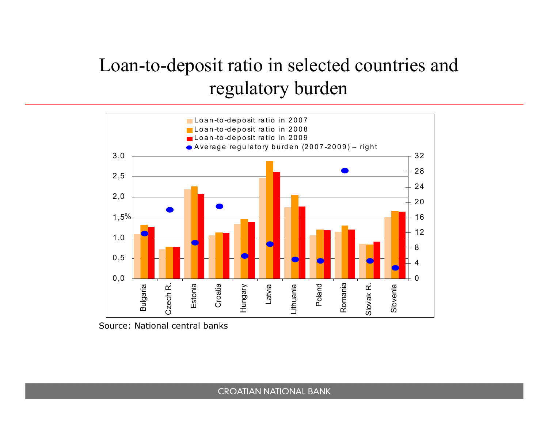# Loan-to-deposit ratio in selected countries and regulatory burden



Source: National central banks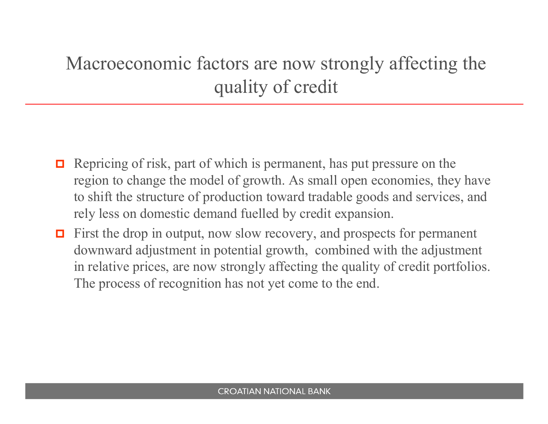# Macroeconomic factors are now strongly affecting the quality of credit

- $\Box$  Repricing of risk, part of which is permanent, has put pressure on the region to change the model of growth. As small open economies, they have to shift the structure of production toward tradable goods and services, and rely less on domestic demand fuelled by credit expansion.
- $\Box$  First the drop in output, now slow recovery, and prospects for permanent downward adjustment in potential growth, combined with the adjustment in relative prices, are now strongly affecting the quality of credit portfolios. The process of recognition has not yet come to the end.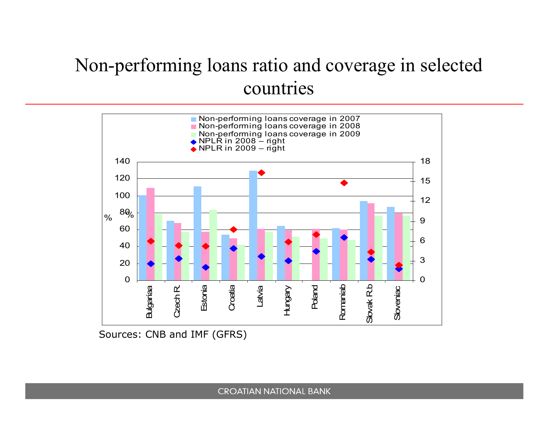## Non-performing loans ratio and coverage in selectedcountries



Sources: CNB and IMF (GFRS)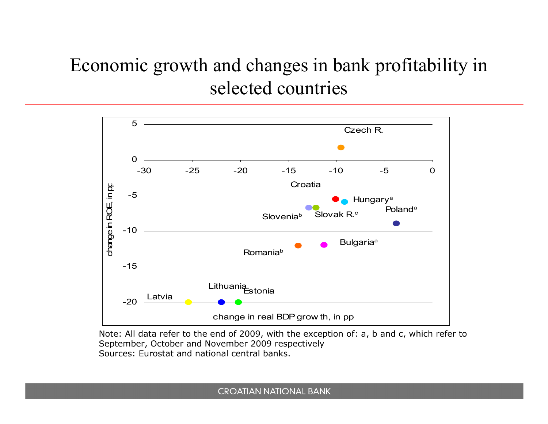# Economic growth and changes in bank profitability in selected countries



Note: All data refer to the end of 2009, with the exception of: a, b and c, which refer to September, October and November 2009 respectivelySources: Eurostat and national central banks.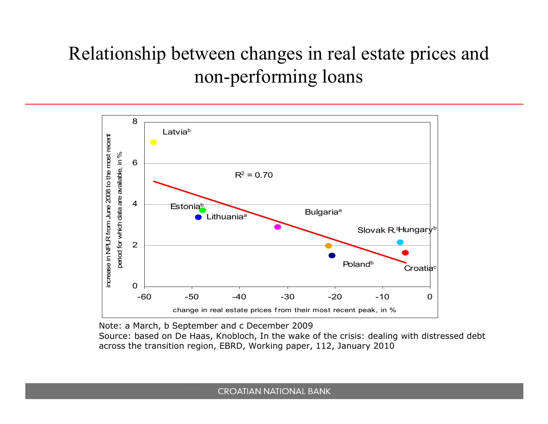# Relationship between changes in real estate prices and non-performing loans



Note: a March, b September and c December 2009

 Source: based on De Haas, Knobloch, In the wake of the crisis: dealing with distressed debt across the transition region, EBRD, Working paper, 112, January 2010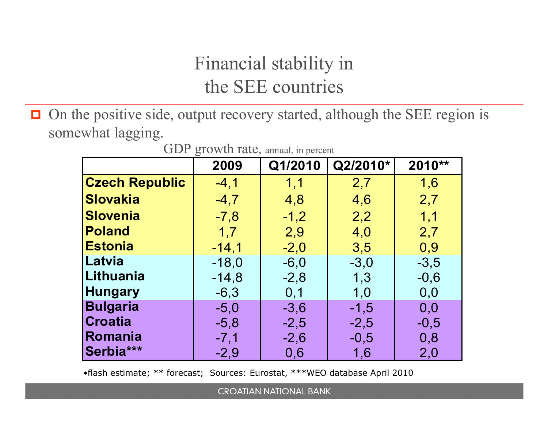# Financial stability in the SEE countries

 $\Box$  On the positive side, output recovery started, although the SEE region is somewhat lagging.

| $\mathbf{v}$<br>$510$ W at Tarce, annual, in percent |         |         |          |        |
|------------------------------------------------------|---------|---------|----------|--------|
|                                                      | 2009    | Q1/2010 | Q2/2010* | 2010** |
| <b>Czech Republic</b>                                | $-4, 1$ | 1,1     | 2,7      | 1,6    |
| <b>Slovakia</b>                                      | $-4,7$  | 4,8     | 4,6      | 2,7    |
| <b>Slovenia</b>                                      | $-7,8$  | $-1,2$  | 2,2      | 1,1    |
| <b>Poland</b>                                        | 1,7     | 2,9     | 4,0      | 2,7    |
| <b>Estonia</b>                                       | $-14,1$ | $-2,0$  | 3,5      | 0,9    |
| Latvia                                               | $-18,0$ | $-6,0$  | $-3,0$   | $-3,5$ |
| Lithuania                                            | $-14,8$ | $-2,8$  | 1,3      | $-0,6$ |
| <b>Hungary</b>                                       | $-6,3$  | 0,1     | 1,0      | 0,0    |
| <b>Bulgaria</b>                                      | $-5,0$  | $-3,6$  | $-1,5$   | 0,0    |
| <b>Croatia</b>                                       | $-5,8$  | $-2,5$  | $-2,5$   | $-0,5$ |
| Romania                                              | $-7,1$  | $-2,6$  | $-0,5$   | 0,8    |
| Serbia***                                            | $-2,9$  | 0,6     | 1,6      | 2,0    |

GDP growth rate, annual, in percent

•flash estimate; \*\* forecast; Sources: Eurostat, \*\*\*WEO database April 2010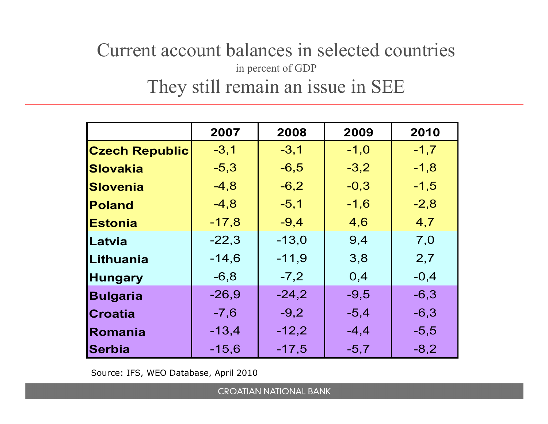### Current account balances in selected countries in percent of GDPThey still remain an issue in SEE

|                       | 2007    | 2008    | 2009    | 2010   |
|-----------------------|---------|---------|---------|--------|
| <b>Czech Republic</b> | $-3,1$  | $-3,1$  | $-1,0$  | $-1,7$ |
| <b>Slovakia</b>       | $-5,3$  | $-6,5$  | $-3,2$  | $-1,8$ |
| <b>Slovenia</b>       | $-4,8$  | $-6,2$  | $-0,3$  | $-1,5$ |
| <b>Poland</b>         | $-4,8$  | $-5,1$  | $-1,6$  | $-2,8$ |
| <b>Estonia</b>        | $-17,8$ | $-9,4$  | 4,6     | 4,7    |
| Latvia                | $-22,3$ | $-13,0$ | 9,4     | 7,0    |
| Lithuania             | $-14.6$ | $-11,9$ | 3,8     | 2,7    |
| <b>Hungary</b>        | $-6, 8$ | $-7,2$  | 0,4     | $-0,4$ |
| <b>Bulgaria</b>       | $-26,9$ | $-24,2$ | $-9,5$  | $-6,3$ |
| <b>Croatia</b>        | $-7,6$  | $-9,2$  | $-5,4$  | $-6,3$ |
| Romania               | $-13,4$ | $-12,2$ | $-4, 4$ | $-5,5$ |
| <b>Serbia</b>         | $-15,6$ | $-17,5$ | $-5,7$  | $-8,2$ |

Source: IFS, WEO Database, April 2010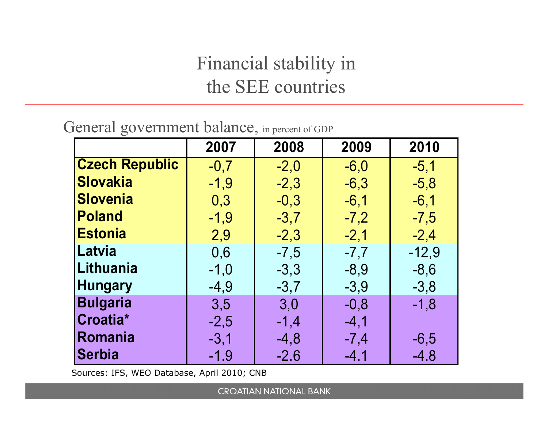# Financial stability in the SEE countries

| General government balance, in percent of GDP |  |  |
|-----------------------------------------------|--|--|
|-----------------------------------------------|--|--|

|                       | 2007   | 2008   | 2009   | 2010    |
|-----------------------|--------|--------|--------|---------|
| <b>Czech Republic</b> | $-0,7$ | $-2,0$ | $-6,0$ | $-5,1$  |
| <b>Slovakia</b>       | $-1,9$ | $-2,3$ | $-6,3$ | $-5,8$  |
| <b>Slovenia</b>       | 0,3    | $-0,3$ | $-6,1$ | $-6,1$  |
| <b>Poland</b>         | $-1,9$ | $-3,7$ | $-7,2$ | $-7,5$  |
| <b>Estonia</b>        | 2,9    | $-2,3$ | $-2,1$ | $-2,4$  |
| Latvia                | 0,6    | $-7,5$ | $-7,7$ | $-12,9$ |
| Lithuania             | $-1,0$ | $-3,3$ | $-8,9$ | $-8,6$  |
| <b>Hungary</b>        | $-4,9$ | $-3,7$ | $-3,9$ | $-3,8$  |
| <b>Bulgaria</b>       | 3,5    | 3,0    | $-0,8$ | $-1,8$  |
| Croatia*              | $-2,5$ | $-1,4$ | $-4,1$ |         |
| Romania               | $-3,1$ | $-4,8$ | $-7,4$ | $-6,5$  |
| Serbia                | $-1.9$ | $-2.6$ | $-4.1$ | $-4.8$  |

Sources: IFS, WEO Database, April 2010; CNB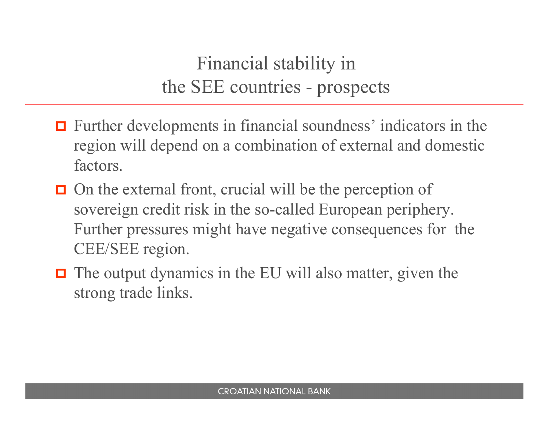Financial stability in the SEE countries - prospects

- $\Box$  Further developments in financial soundness' indicators in the movies will denote a complimation of external and democified region will depend on a combination of external and domestic factors.
- $\Box$  On the external front, crucial will be the perception of sovereign credit risk in the so-called European periphery. Further pressures might have negative consequences for the CEE/SEE region.
- $\Box$  The output dynamics in the EU will also matter, given the strong trade links.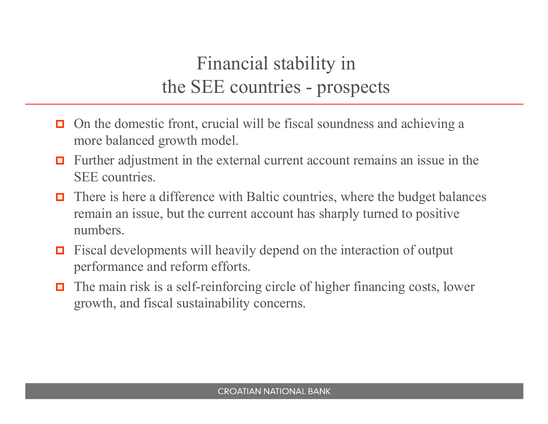# Financial stability in the SEE countries - prospects

- $\Box$  On the domestic front, crucial will be fiscal soundness and achieving a more balanced growth model.
- $\Box$  Further adjustment in the external current account remains an issue in the SEE countries.
- О. There is here a difference with Baltic countries, where the budget balances remain an issue, but the current account has sharply turned to positive numbers.
- О. Fiscal developments will heavily depend on the interaction of output performance and reform efforts.
- о The main risk is a self-reinforcing circle of higher financing costs, lower growth, and fiscal sustainability concerns.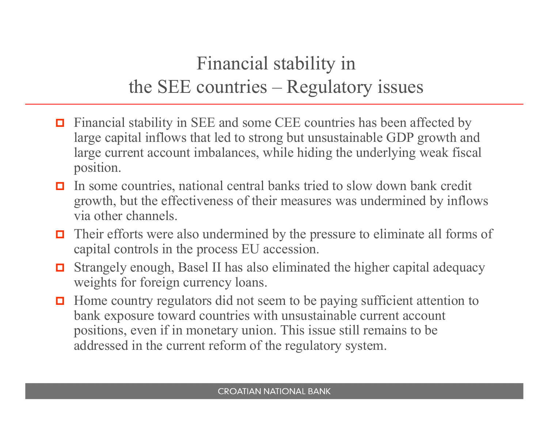# Financial stability in the SEE countries – Regulatory issues

- $\Box$  Financial stability in SEE and some CEE countries has been affected by large capital inflows that led to strong but unsustainable GDP growth and large current account imbalances, while hiding the underlying weak fiscal position.
- $\Box$  In some countries, national central banks tried to slow down bank credit growth, but the effectiveness of their measures was undermined by inflows via other channels.
- $\Box$  Their efforts were also undermined by the pressure to eliminate all forms of capital controls in the process EU accession.
- $\Box$  Strangely enough, Basel II has also eliminated the higher capital adequacy weights for foreign currency loans.
- О. Home country regulators did not seem to be paying sufficient attention to bank exposure toward countries with unsustainable current account positions, even if in monetary union. This issue still remains to be addressed in the current reform of the regulatory system.